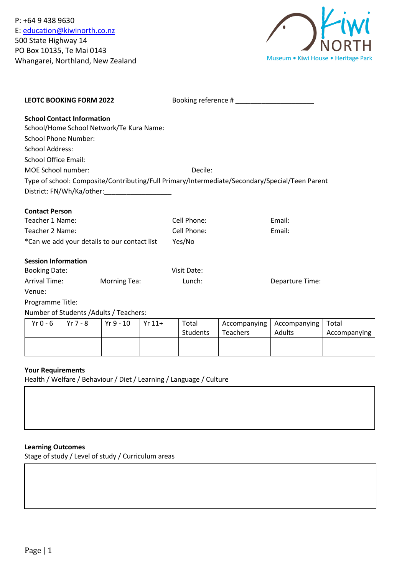P: +64 9 438 9630 E: [education@kiwinorth.co.nz](mailto:education@kiwinorth.co.nz) 500 State Highway 14 PO Box 10135, Te Mai 0143 Whangarei, Northland, New Zealand



| <b>LEOTC BOOKING FORM 2022</b>               |                                          | Booking reference #                                                                            |                 |
|----------------------------------------------|------------------------------------------|------------------------------------------------------------------------------------------------|-----------------|
| <b>School Contact Information</b>            |                                          |                                                                                                |                 |
|                                              | School/Home School Network/Te Kura Name: |                                                                                                |                 |
| <b>School Phone Number:</b>                  |                                          |                                                                                                |                 |
| School Address:                              |                                          |                                                                                                |                 |
| <b>School Office Email:</b>                  |                                          |                                                                                                |                 |
| MOE School number:                           |                                          | Decile:                                                                                        |                 |
|                                              |                                          | Type of school: Composite/Contributing/Full Primary/Intermediate/Secondary/Special/Teen Parent |                 |
|                                              | District: FN/Wh/Ka/other:                |                                                                                                |                 |
| <b>Contact Person</b>                        |                                          |                                                                                                |                 |
| Teacher 1 Name:                              |                                          | Cell Phone:                                                                                    | Email:          |
| Teacher 2 Name:                              |                                          | Cell Phone:                                                                                    | Email:          |
| *Can we add your details to our contact list |                                          | Yes/No                                                                                         |                 |
| <b>Session Information</b>                   |                                          |                                                                                                |                 |
| <b>Booking Date:</b>                         |                                          | Visit Date:                                                                                    |                 |
| Arrival Time:                                | <b>Morning Tea:</b>                      | Lunch:                                                                                         | Departure Time: |
| Venue:                                       |                                          |                                                                                                |                 |
| Programme Title:                             |                                          |                                                                                                |                 |
|                                              | Number of Students / Adults / Teachers:  |                                                                                                |                 |

| Yr $0$ - $6$ | Yr 7 - 8 | Yr 9 - 10 | $Yr 11+$ | Total<br>Students | Teachers | Accompanying   Accompanying  <br><b>Adults</b> | Total<br>Accompanying I |
|--------------|----------|-----------|----------|-------------------|----------|------------------------------------------------|-------------------------|
|              |          |           |          |                   |          |                                                |                         |

# **Your Requirements**

Health / Welfare / Behaviour / Diet / Learning / Language / Culture

# **Learning Outcomes**

Stage of study / Level of study / Curriculum areas